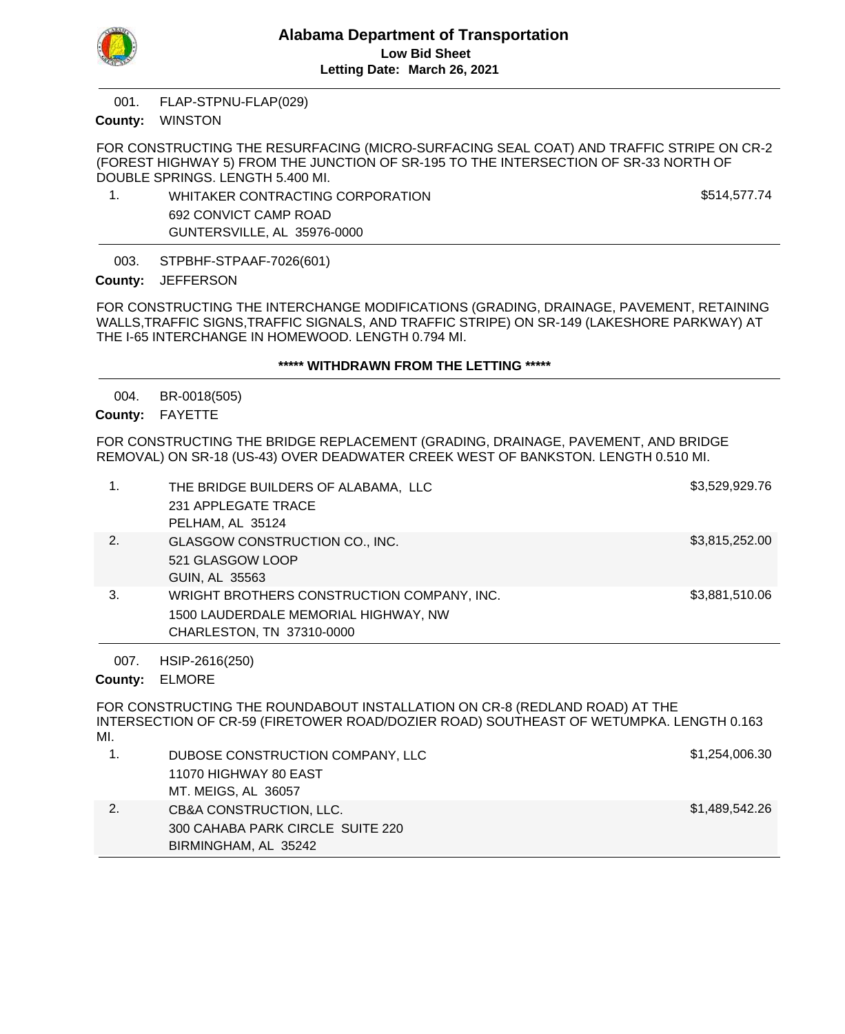

FLAP-STPNU-FLAP(029) 001.

## County: WINSTON

FOR CONSTRUCTING THE RESURFACING (MICRO-SURFACING SEAL COAT) AND TRAFFIC STRIPE ON CR-2 (FOREST HIGHWAY 5) FROM THE JUNCTION OF SR-195 TO THE INTERSECTION OF SR-33 NORTH OF DOUBLE SPRINGS. LENGTH 5.400 MI.

1. WHITAKER CONTRACTING CORPORATION \$514,577.74 692 CONVICT CAMP ROAD GUNTERSVILLE, AL 35976-0000

STPBHF-STPAAF-7026(601) 003.

County: JEFFERSON

FOR CONSTRUCTING THE INTERCHANGE MODIFICATIONS (GRADING, DRAINAGE, PAVEMENT, RETAINING WALLS,TRAFFIC SIGNS,TRAFFIC SIGNALS, AND TRAFFIC STRIPE) ON SR-149 (LAKESHORE PARKWAY) AT THE I-65 INTERCHANGE IN HOMEWOOD. LENGTH 0.794 MI.

### **\*\*\*\*\* WITHDRAWN FROM THE LETTING \*\*\*\*\***

BR-0018(505) 004.

County: FAYETTE

FOR CONSTRUCTING THE BRIDGE REPLACEMENT (GRADING, DRAINAGE, PAVEMENT, AND BRIDGE REMOVAL) ON SR-18 (US-43) OVER DEADWATER CREEK WEST OF BANKSTON. LENGTH 0.510 MI.

| 1.              | THE BRIDGE BUILDERS OF ALABAMA, LLC<br>231 APPLEGATE TRACE<br>PELHAM, AL 35124                                                                                       | \$3,529,929.76 |
|-----------------|----------------------------------------------------------------------------------------------------------------------------------------------------------------------|----------------|
| 2.              | GLASGOW CONSTRUCTION CO., INC.<br>521 GLASGOW LOOP<br>GUIN, AL 35563                                                                                                 | \$3,815,252.00 |
| 3.              | WRIGHT BROTHERS CONSTRUCTION COMPANY, INC.<br>1500 LAUDERDALE MEMORIAL HIGHWAY, NW<br>CHARLESTON, TN 37310-0000                                                      | \$3,881,510.06 |
| 007.<br>County: | HSIP-2616(250)<br><b>ELMORE</b>                                                                                                                                      |                |
| MI.             | FOR CONSTRUCTING THE ROUNDABOUT INSTALLATION ON CR-8 (REDLAND ROAD) AT THE<br>INTERSECTION OF CR-59 (FIRETOWER ROAD/DOZIER ROAD) SOUTHEAST OF WETUMPKA. LENGTH 0.163 |                |
| 1.              | DUBOSE CONSTRUCTION COMPANY, LLC<br>11070 HIGHWAY 80 EAST<br>MT. MEIGS, AL 36057                                                                                     | \$1,254,006.30 |
| 2.              | CB&A CONSTRUCTION, LLC.<br>300 CAHABA PARK CIRCLE SUITE 220                                                                                                          | \$1,489,542.26 |

BIRMINGHAM, AL 35242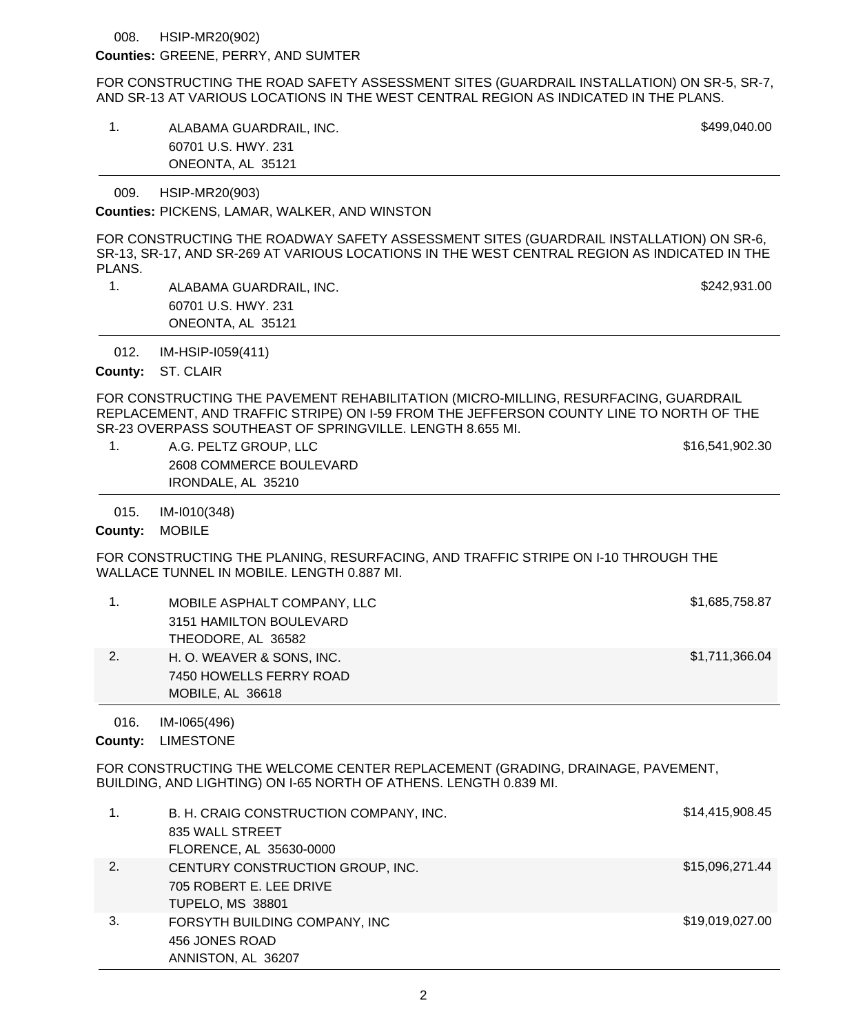#### HSIP-MR20(902) 008.

### Counties: GREENE, PERRY, AND SUMTER

FOR CONSTRUCTING THE ROAD SAFETY ASSESSMENT SITES (GUARDRAIL INSTALLATION) ON SR-5, SR-7, AND SR-13 AT VARIOUS LOCATIONS IN THE WEST CENTRAL REGION AS INDICATED IN THE PLANS.

1. ALABAMA GUARDRAIL, INC. ALABAMA GUARDRAIL, INC. 60701 U.S. HWY. 231 ONEONTA, AL 35121

HSIP-MR20(903) 009.

Counties: PICKENS, LAMAR, WALKER, AND WINSTON

FOR CONSTRUCTING THE ROADWAY SAFETY ASSESSMENT SITES (GUARDRAIL INSTALLATION) ON SR-6, SR-13, SR-17, AND SR-269 AT VARIOUS LOCATIONS IN THE WEST CENTRAL REGION AS INDICATED IN THE PLANS.

1. ALABAMA GUARDRAIL, INC. **\$242,931.00** 60701 U.S. HWY. 231 ONEONTA, AL 35121

IM-HSIP-I059(411) 012.

County: ST. CLAIR

FOR CONSTRUCTING THE PAVEMENT REHABILITATION (MICRO-MILLING, RESURFACING, GUARDRAIL REPLACEMENT, AND TRAFFIC STRIPE) ON I-59 FROM THE JEFFERSON COUNTY LINE TO NORTH OF THE SR-23 OVERPASS SOUTHEAST OF SPRINGVILLE. LENGTH 8.655 MI.

1. A.G. PELTZ GROUP, LLC 6. A state of the state of the state of the state of the state of the state of the state of the state of the state of the state of the state of the state of the state of the state of the state of t 2608 COMMERCE BOULEVARD IRONDALE, AL 35210

IM-I010(348) 015.

County: MOBILE

FOR CONSTRUCTING THE PLANING, RESURFACING, AND TRAFFIC STRIPE ON I-10 THROUGH THE WALLACE TUNNEL IN MOBILE. LENGTH 0.887 MI.

|    | MOBILE ASPHALT COMPANY, LLC | \$1,685,758.87 |
|----|-----------------------------|----------------|
|    | 3151 HAMILTON BOULEVARD     |                |
|    | THEODORE, AL 36582          |                |
| 2. | H. O. WEAVER & SONS, INC.   | \$1,711,366.04 |
|    | 7450 HOWELLS FERRY ROAD     |                |
|    | MOBILE, AL 36618            |                |

IM-I065(496) 016.

County: LIMESTONE

FOR CONSTRUCTING THE WELCOME CENTER REPLACEMENT (GRADING, DRAINAGE, PAVEMENT, BUILDING, AND LIGHTING) ON I-65 NORTH OF ATHENS. LENGTH 0.839 MI.

| 1. | B. H. CRAIG CONSTRUCTION COMPANY, INC.<br>835 WALL STREET<br>FLORENCE, AL 35630-0000   | \$14,415,908.45 |
|----|----------------------------------------------------------------------------------------|-----------------|
| 2. | CENTURY CONSTRUCTION GROUP, INC.<br>705 ROBERT E. LEE DRIVE<br><b>TUPELO, MS 38801</b> | \$15,096,271.44 |
| 3. | FORSYTH BUILDING COMPANY, INC<br>456 JONES ROAD<br>ANNISTON, AL 36207                  | \$19,019,027.00 |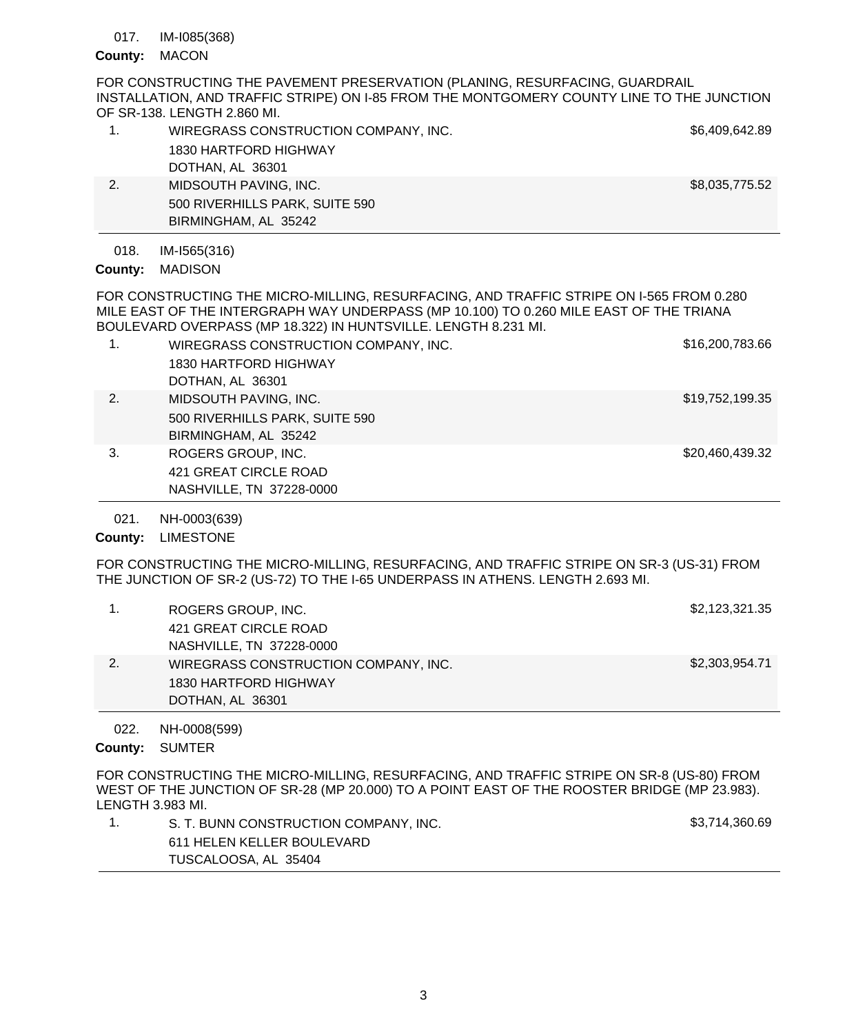IM-I085(368) 017.

# County: MACON

FOR CONSTRUCTING THE PAVEMENT PRESERVATION (PLANING, RESURFACING, GUARDRAIL INSTALLATION, AND TRAFFIC STRIPE) ON I-85 FROM THE MONTGOMERY COUNTY LINE TO THE JUNCTION OF SR-138. LENGTH 2.860 MI.

|    | WIREGRASS CONSTRUCTION COMPANY, INC. | \$6,409,642.89 |
|----|--------------------------------------|----------------|
|    | 1830 HARTFORD HIGHWAY                |                |
|    | DOTHAN, AL 36301                     |                |
| 2. | MIDSOUTH PAVING, INC.                | \$8,035,775.52 |
|    | 500 RIVERHILLS PARK, SUITE 590       |                |
|    | BIRMINGHAM, AL 35242                 |                |

#### IM-I565(316) 018.

County: MADISON

FOR CONSTRUCTING THE MICRO-MILLING, RESURFACING, AND TRAFFIC STRIPE ON I-565 FROM 0.280 MILE EAST OF THE INTERGRAPH WAY UNDERPASS (MP 10.100) TO 0.260 MILE EAST OF THE TRIANA BOULEVARD OVERPASS (MP 18.322) IN HUNTSVILLE. LENGTH 8.231 MI.

|    | WIREGRASS CONSTRUCTION COMPANY, INC.<br>1830 HARTFORD HIGHWAY<br>DOTHAN, AL 36301 | \$16,200,783.66 |
|----|-----------------------------------------------------------------------------------|-----------------|
| 2. |                                                                                   | \$19,752,199.35 |
|    | MIDSOUTH PAVING, INC.                                                             |                 |
|    | 500 RIVERHILLS PARK, SUITE 590                                                    |                 |
|    | BIRMINGHAM, AL 35242                                                              |                 |
| 3. | ROGERS GROUP, INC.                                                                | \$20,460,439.32 |
|    | 421 GREAT CIRCLE ROAD                                                             |                 |
|    | NASHVILLE, TN 37228-0000                                                          |                 |
|    |                                                                                   |                 |

NH-0003(639) 021.

County: LIMESTONE

FOR CONSTRUCTING THE MICRO-MILLING, RESURFACING, AND TRAFFIC STRIPE ON SR-3 (US-31) FROM THE JUNCTION OF SR-2 (US-72) TO THE I-65 UNDERPASS IN ATHENS. LENGTH 2.693 MI.

|    | ROGERS GROUP, INC.                   | \$2,123,321.35 |
|----|--------------------------------------|----------------|
|    | 421 GREAT CIRCLE ROAD                |                |
|    | NASHVILLE, TN 37228-0000             |                |
| 2. | WIREGRASS CONSTRUCTION COMPANY, INC. | \$2,303,954.71 |
|    | 1830 HARTFORD HIGHWAY                |                |
|    | DOTHAN, AL 36301                     |                |

NH-0008(599) 022.

County: SUMTER

FOR CONSTRUCTING THE MICRO-MILLING, RESURFACING, AND TRAFFIC STRIPE ON SR-8 (US-80) FROM WEST OF THE JUNCTION OF SR-28 (MP 20.000) TO A POINT EAST OF THE ROOSTER BRIDGE (MP 23.983). LENGTH 3.983 MI.

| S. T. BUNN CONSTRUCTION COMPANY, INC. | \$3,714,360.69 |
|---------------------------------------|----------------|
| 611 HELEN KELLER BOULEVARD            |                |
| TUSCALOOSA, AL 35404                  |                |
|                                       |                |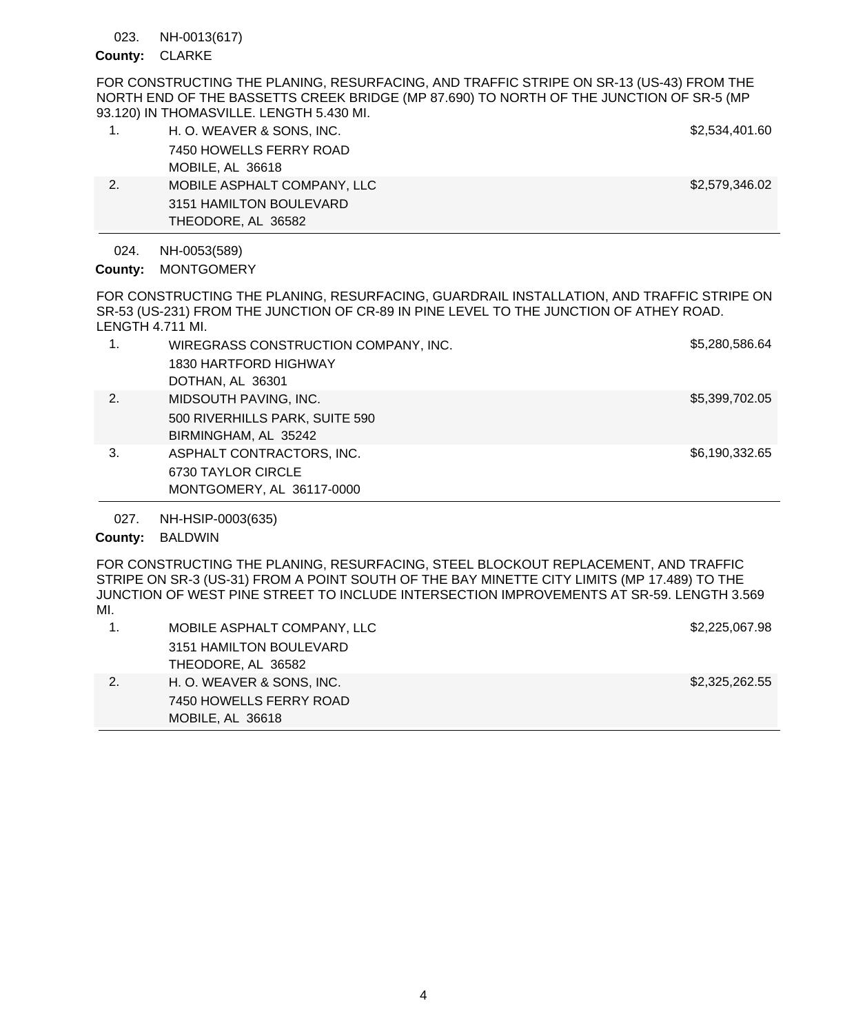NH-0013(617) 023.

## County: CLARKE

FOR CONSTRUCTING THE PLANING, RESURFACING, AND TRAFFIC STRIPE ON SR-13 (US-43) FROM THE NORTH END OF THE BASSETTS CREEK BRIDGE (MP 87.690) TO NORTH OF THE JUNCTION OF SR-5 (MP 93.120) IN THOMASVILLE. LENGTH 5.430 MI.

|    | H. O. WEAVER & SONS, INC.   | \$2,534,401.60 |  |
|----|-----------------------------|----------------|--|
|    | 7450 HOWELLS FERRY ROAD     |                |  |
|    | MOBILE, AL 36618            |                |  |
| 2. | MOBILE ASPHALT COMPANY, LLC | \$2,579,346.02 |  |
|    | 3151 HAMILTON BOULEVARD     |                |  |
|    | THEODORE, AL 36582          |                |  |

NH-0053(589) 024.

County: MONTGOMERY

FOR CONSTRUCTING THE PLANING, RESURFACING, GUARDRAIL INSTALLATION, AND TRAFFIC STRIPE ON SR-53 (US-231) FROM THE JUNCTION OF CR-89 IN PINE LEVEL TO THE JUNCTION OF ATHEY ROAD. LENGTH 4.711 MI.

|    | WIREGRASS CONSTRUCTION COMPANY, INC. | \$5,280,586.64 |
|----|--------------------------------------|----------------|
|    | 1830 HARTFORD HIGHWAY                |                |
|    | DOTHAN, AL 36301                     |                |
| 2. | MIDSOUTH PAVING, INC.                | \$5,399,702.05 |
|    | 500 RIVERHILLS PARK, SUITE 590       |                |
|    | BIRMINGHAM, AL 35242                 |                |
| 3. | ASPHALT CONTRACTORS, INC.            | \$6,190,332.65 |
|    | 6730 TAYLOR CIRCLE                   |                |
|    | MONTGOMERY, AL 36117-0000            |                |

NH-HSIP-0003(635) 027.

# County: BALDWIN

FOR CONSTRUCTING THE PLANING, RESURFACING, STEEL BLOCKOUT REPLACEMENT, AND TRAFFIC STRIPE ON SR-3 (US-31) FROM A POINT SOUTH OF THE BAY MINETTE CITY LIMITS (MP 17.489) TO THE JUNCTION OF WEST PINE STREET TO INCLUDE INTERSECTION IMPROVEMENTS AT SR-59. LENGTH 3.569 MI.

| MOBILE ASPHALT COMPANY, LLC | \$2,225,067.98 |
|-----------------------------|----------------|
| 3151 HAMILTON BOULEVARD     |                |
| THEODORE, AL 36582          |                |
| H. O. WEAVER & SONS, INC.   | \$2,325,262.55 |
| 7450 HOWELLS FERRY ROAD     |                |
| MOBILE, AL 36618            |                |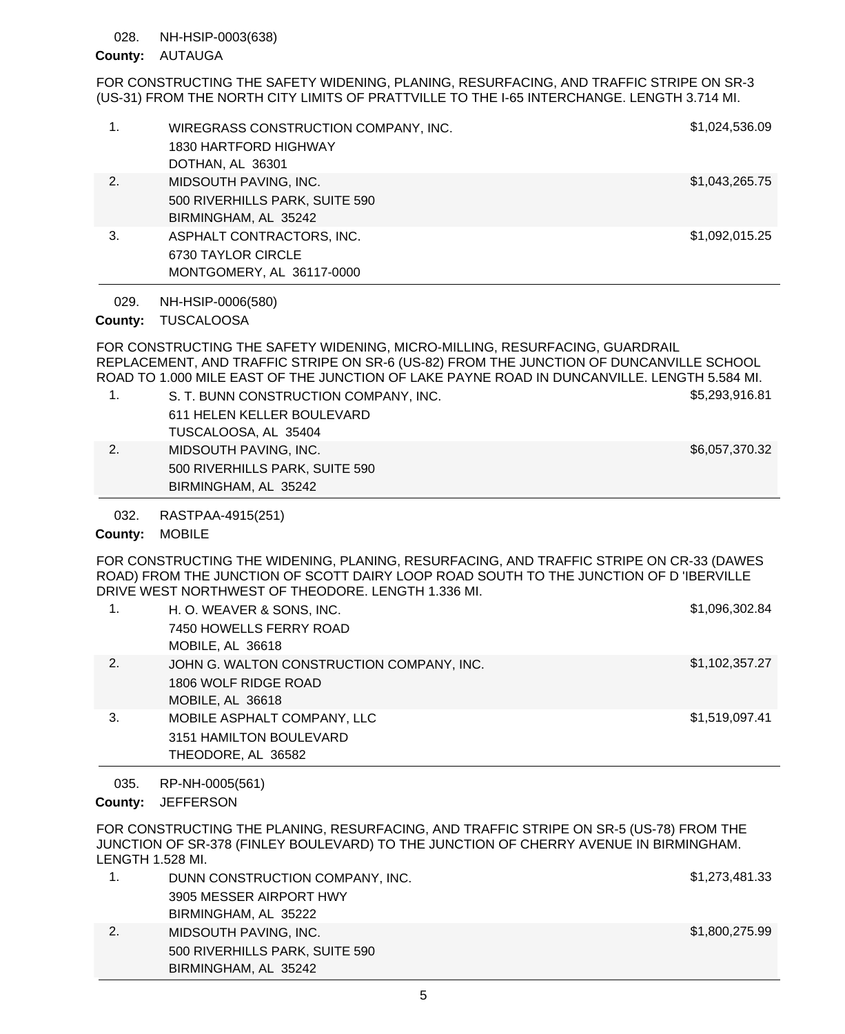#### NH-HSIP-0003(638) 028.

## County: AUTAUGA

FOR CONSTRUCTING THE SAFETY WIDENING, PLANING, RESURFACING, AND TRAFFIC STRIPE ON SR-3 (US-31) FROM THE NORTH CITY LIMITS OF PRATTVILLE TO THE I-65 INTERCHANGE. LENGTH 3.714 MI.

| 1.              | WIREGRASS CONSTRUCTION COMPANY, INC.<br><b>1830 HARTFORD HIGHWAY</b><br>DOTHAN, AL 36301 | \$1,024,536.09 |
|-----------------|------------------------------------------------------------------------------------------|----------------|
| 2.              | MIDSOUTH PAVING, INC.<br>500 RIVERHILLS PARK, SUITE 590<br>BIRMINGHAM, AL 35242          | \$1,043,265.75 |
| 3.              | ASPHALT CONTRACTORS, INC.<br>6730 TAYLOR CIRCLE<br>MONTGOMERY, AL 36117-0000             | \$1,092,015.25 |
| 029.<br>County: | NH-HSIP-0006(580)<br><b>TUSCALOOSA</b>                                                   |                |

FOR CONSTRUCTING THE SAFETY WIDENING, MICRO-MILLING, RESURFACING, GUARDRAIL REPLACEMENT, AND TRAFFIC STRIPE ON SR-6 (US-82) FROM THE JUNCTION OF DUNCANVILLE SCHOOL ROAD TO 1.000 MILE EAST OF THE JUNCTION OF LAKE PAYNE ROAD IN DUNCANVILLE. LENGTH 5.584 MI.

| 1. | S. T. BUNN CONSTRUCTION COMPANY, INC. | \$5,293,916.81 |
|----|---------------------------------------|----------------|
|    | 611 HELEN KELLER BOULEVARD            |                |
|    | TUSCALOOSA, AL 35404                  |                |
| 2. | MIDSOUTH PAVING, INC.                 | \$6,057,370.32 |
|    | 500 RIVERHILLS PARK, SUITE 590        |                |
|    | BIRMINGHAM, AL 35242                  |                |

RASTPAA-4915(251) 032.

### County: MOBILE

FOR CONSTRUCTING THE WIDENING, PLANING, RESURFACING, AND TRAFFIC STRIPE ON CR-33 (DAWES ROAD) FROM THE JUNCTION OF SCOTT DAIRY LOOP ROAD SOUTH TO THE JUNCTION OF D 'IBERVILLE DRIVE WEST NORTHWEST OF THEODORE. LENGTH 1.336 MI.

|    | H. O. WEAVER & SONS, INC.                 | \$1,096,302.84 |
|----|-------------------------------------------|----------------|
|    | 7450 HOWELLS FERRY ROAD                   |                |
|    | MOBILE, AL 36618                          |                |
| 2. | JOHN G. WALTON CONSTRUCTION COMPANY, INC. | \$1,102,357.27 |
|    | 1806 WOLF RIDGE ROAD                      |                |
|    | MOBILE, AL 36618                          |                |
| 3. | MOBILE ASPHALT COMPANY, LLC               | \$1,519,097.41 |
|    | 3151 HAMILTON BOULEVARD                   |                |
|    | THEODORE, AL 36582                        |                |

RP-NH-0005(561) 035.

County: JEFFERSON

FOR CONSTRUCTING THE PLANING, RESURFACING, AND TRAFFIC STRIPE ON SR-5 (US-78) FROM THE JUNCTION OF SR-378 (FINLEY BOULEVARD) TO THE JUNCTION OF CHERRY AVENUE IN BIRMINGHAM. LENGTH 1.528 MI.

|    | DUNN CONSTRUCTION COMPANY, INC. | \$1,273,481.33 |
|----|---------------------------------|----------------|
|    | 3905 MESSER AIRPORT HWY         |                |
|    | BIRMINGHAM, AL 35222            |                |
| 2. | MIDSOUTH PAVING, INC.           | \$1,800,275.99 |
|    | 500 RIVERHILLS PARK, SUITE 590  |                |
|    | BIRMINGHAM, AL 35242            |                |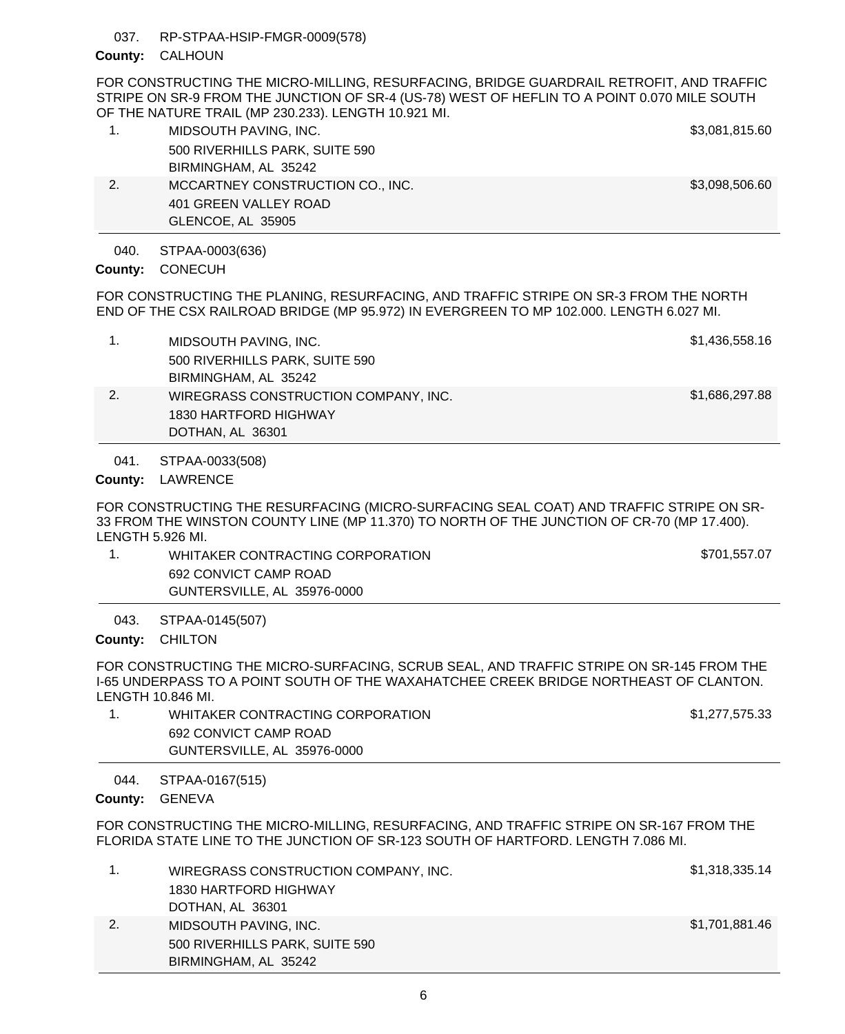RP-STPAA-HSIP-FMGR-0009(578) 037.

# County: CALHOUN

FOR CONSTRUCTING THE MICRO-MILLING, RESURFACING, BRIDGE GUARDRAIL RETROFIT, AND TRAFFIC STRIPE ON SR-9 FROM THE JUNCTION OF SR-4 (US-78) WEST OF HEFLIN TO A POINT 0.070 MILE SOUTH OF THE NATURE TRAIL (MP 230.233). LENGTH 10.921 MI.

| 1. | MIDSOUTH PAVING, INC.            | \$3,081,815.60 |
|----|----------------------------------|----------------|
|    | 500 RIVERHILLS PARK, SUITE 590   |                |
|    | BIRMINGHAM, AL 35242             |                |
| 2. | MCCARTNEY CONSTRUCTION CO., INC. | \$3,098,506.60 |
|    | 401 GREEN VALLEY ROAD            |                |
|    | GLENCOE, AL 35905                |                |

STPAA-0003(636) 040.

County: CONECUH

FOR CONSTRUCTING THE PLANING, RESURFACING, AND TRAFFIC STRIPE ON SR-3 FROM THE NORTH END OF THE CSX RAILROAD BRIDGE (MP 95.972) IN EVERGREEN TO MP 102.000. LENGTH 6.027 MI.

|    | MIDSOUTH PAVING, INC.                | \$1,436,558.16 |
|----|--------------------------------------|----------------|
|    | 500 RIVERHILLS PARK, SUITE 590       |                |
|    | BIRMINGHAM, AL 35242                 |                |
| 2. | WIREGRASS CONSTRUCTION COMPANY, INC. | \$1,686,297.88 |
|    | 1830 HARTFORD HIGHWAY                |                |
|    | DOTHAN, AL 36301                     |                |

STPAA-0033(508) 041.

County: LAWRENCE

FOR CONSTRUCTING THE RESURFACING (MICRO-SURFACING SEAL COAT) AND TRAFFIC STRIPE ON SR-33 FROM THE WINSTON COUNTY LINE (MP 11.370) TO NORTH OF THE JUNCTION OF CR-70 (MP 17.400). LENGTH 5.926 MI.

1. WHITAKER CONTRACTING CORPORATION **1.** WHITAKER CONTRACTING CORPORATION 692 CONVICT CAMP ROAD GUNTERSVILLE, AL 35976-0000

STPAA-0145(507) County: CHILTON 043.

FOR CONSTRUCTING THE MICRO-SURFACING, SCRUB SEAL, AND TRAFFIC STRIPE ON SR-145 FROM THE I-65 UNDERPASS TO A POINT SOUTH OF THE WAXAHATCHEE CREEK BRIDGE NORTHEAST OF CLANTON. LENGTH 10.846 MI.

| WHITAKER CONTRACTING CORPORATION | \$1,277,575.33 |
|----------------------------------|----------------|
| 692 CONVICT CAMP ROAD            |                |
| GUNTERSVILLE, AL 35976-0000      |                |
|                                  |                |

STPAA-0167(515) 044.

County: GENEVA

FOR CONSTRUCTING THE MICRO-MILLING, RESURFACING, AND TRAFFIC STRIPE ON SR-167 FROM THE FLORIDA STATE LINE TO THE JUNCTION OF SR-123 SOUTH OF HARTFORD. LENGTH 7.086 MI.

|    | WIREGRASS CONSTRUCTION COMPANY, INC. | \$1,318,335.14 |
|----|--------------------------------------|----------------|
|    | 1830 HARTFORD HIGHWAY                |                |
|    | DOTHAN, AL 36301                     |                |
| 2. | MIDSOUTH PAVING, INC.                | \$1,701,881.46 |
|    | 500 RIVERHILLS PARK, SUITE 590       |                |
|    | BIRMINGHAM, AL 35242                 |                |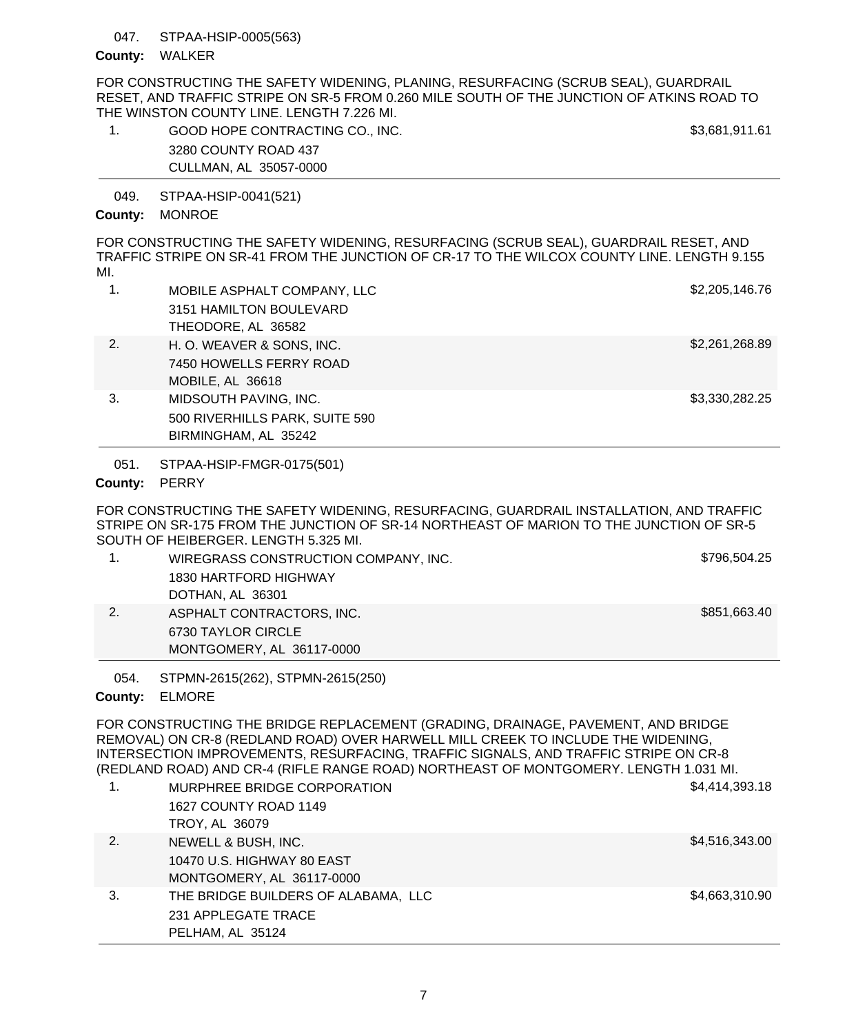#### STPAA-HSIP-0005(563) 047.

### County: WALKER

FOR CONSTRUCTING THE SAFETY WIDENING, PLANING, RESURFACING (SCRUB SEAL), GUARDRAIL RESET, AND TRAFFIC STRIPE ON SR-5 FROM 0.260 MILE SOUTH OF THE JUNCTION OF ATKINS ROAD TO THE WINSTON COUNTY LINE. LENGTH 7.226 MI.

1. GOOD HOPE CONTRACTING CO., INC.  $\sim$  53,681,911.61 3280 COUNTY ROAD 437 CULLMAN, AL 35057-0000

STPAA-HSIP-0041(521) 049.

## County: MONROE

FOR CONSTRUCTING THE SAFETY WIDENING, RESURFACING (SCRUB SEAL), GUARDRAIL RESET, AND TRAFFIC STRIPE ON SR-41 FROM THE JUNCTION OF CR-17 TO THE WILCOX COUNTY LINE. LENGTH 9.155 MI.

| 1. | MOBILE ASPHALT COMPANY, LLC<br>3151 HAMILTON BOULEVARD<br>THEODORE, AL 36582    | \$2,205,146.76 |
|----|---------------------------------------------------------------------------------|----------------|
| 2. | H. O. WEAVER & SONS, INC.<br>7450 HOWELLS FERRY ROAD<br>MOBILE, AL 36618        | \$2,261,268.89 |
| 3. | MIDSOUTH PAVING, INC.<br>500 RIVERHILLS PARK, SUITE 590<br>BIRMINGHAM, AL 35242 | \$3,330,282.25 |

STPAA-HSIP-FMGR-0175(501) 051.

## County: PERRY

FOR CONSTRUCTING THE SAFETY WIDENING, RESURFACING, GUARDRAIL INSTALLATION, AND TRAFFIC STRIPE ON SR-175 FROM THE JUNCTION OF SR-14 NORTHEAST OF MARION TO THE JUNCTION OF SR-5 SOUTH OF HEIBERGER. LENGTH 5.325 MI.

| WIREGRASS CONSTRUCTION COMPANY, INC. | \$796,504.25 |
|--------------------------------------|--------------|
| 1830 HARTFORD HIGHWAY                |              |
| DOTHAN, AL 36301                     |              |
| ASPHALT CONTRACTORS, INC.            | \$851,663.40 |
| 6730 TAYLOR CIRCLE                   |              |
| MONTGOMERY, AL 36117-0000            |              |

STPMN-2615(262), STPMN-2615(250) 054.

# ELMORE **County:**

FOR CONSTRUCTING THE BRIDGE REPLACEMENT (GRADING, DRAINAGE, PAVEMENT, AND BRIDGE REMOVAL) ON CR-8 (REDLAND ROAD) OVER HARWELL MILL CREEK TO INCLUDE THE WIDENING, INTERSECTION IMPROVEMENTS, RESURFACING, TRAFFIC SIGNALS, AND TRAFFIC STRIPE ON CR-8 (REDLAND ROAD) AND CR-4 (RIFLE RANGE ROAD) NORTHEAST OF MONTGOMERY. LENGTH 1.031 MI.

| 1. | MURPHREE BRIDGE CORPORATION         | \$4,414,393.18 |
|----|-------------------------------------|----------------|
|    | 1627 COUNTY ROAD 1149               |                |
|    | TROY, AL 36079                      |                |
| 2. | NEWELL & BUSH, INC.                 | \$4,516,343.00 |
|    | 10470 U.S. HIGHWAY 80 EAST          |                |
|    | MONTGOMERY, AL 36117-0000           |                |
| 3. | THE BRIDGE BUILDERS OF ALABAMA, LLC | \$4,663,310.90 |
|    | 231 APPLEGATE TRACE                 |                |
|    | PELHAM, AL 35124                    |                |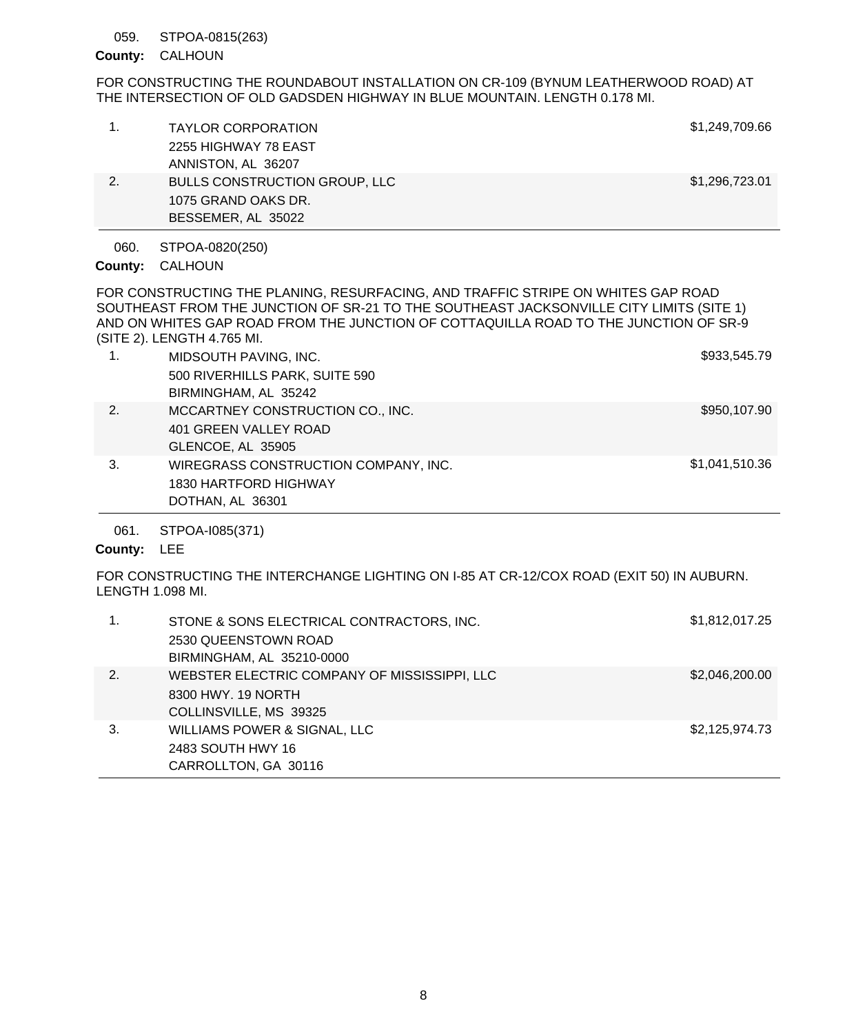#### STPOA-0815(263) 059.

## County: CALHOUN

FOR CONSTRUCTING THE ROUNDABOUT INSTALLATION ON CR-109 (BYNUM LEATHERWOOD ROAD) AT THE INTERSECTION OF OLD GADSDEN HIGHWAY IN BLUE MOUNTAIN. LENGTH 0.178 MI.

|    | BESSEMER, AL 35022                   |                |
|----|--------------------------------------|----------------|
|    | 1075 GRAND OAKS DR.                  |                |
| 2. | <b>BULLS CONSTRUCTION GROUP, LLC</b> | \$1,296,723.01 |
|    | ANNISTON, AL 36207                   |                |
|    | 2255 HIGHWAY 78 EAST                 |                |
|    | <b>TAYLOR CORPORATION</b>            | \$1,249,709.66 |
|    |                                      |                |

STPOA-0820(250) 060.

## CALHOUN **County:**

FOR CONSTRUCTING THE PLANING, RESURFACING, AND TRAFFIC STRIPE ON WHITES GAP ROAD SOUTHEAST FROM THE JUNCTION OF SR-21 TO THE SOUTHEAST JACKSONVILLE CITY LIMITS (SITE 1) AND ON WHITES GAP ROAD FROM THE JUNCTION OF COTTAQUILLA ROAD TO THE JUNCTION OF SR-9 (SITE 2). LENGTH 4.765 MI.

| 1. | MIDSOUTH PAVING, INC.                | \$933,545.79   |
|----|--------------------------------------|----------------|
|    | 500 RIVERHILLS PARK, SUITE 590       |                |
|    | BIRMINGHAM, AL 35242                 |                |
| 2. | MCCARTNEY CONSTRUCTION CO., INC.     | \$950,107.90   |
|    | 401 GREEN VALLEY ROAD                |                |
|    | GLENCOE, AL 35905                    |                |
| 3. | WIREGRASS CONSTRUCTION COMPANY, INC. | \$1,041,510.36 |
|    | 1830 HARTFORD HIGHWAY                |                |
|    | DOTHAN, AL 36301                     |                |

#### STPOA-I085(371) 061.

# County: LEE

FOR CONSTRUCTING THE INTERCHANGE LIGHTING ON I-85 AT CR-12/COX ROAD (EXIT 50) IN AUBURN. LENGTH 1.098 MI.

| 1. | STONE & SONS ELECTRICAL CONTRACTORS, INC.<br>2530 QUEENSTOWN ROAD<br>BIRMINGHAM, AL 35210-0000 | \$1,812,017.25 |
|----|------------------------------------------------------------------------------------------------|----------------|
| 2. | WEBSTER ELECTRIC COMPANY OF MISSISSIPPI, LLC<br>8300 HWY, 19 NORTH<br>COLLINSVILLE, MS 39325   | \$2,046,200.00 |
| 3. | WILLIAMS POWER & SIGNAL, LLC<br>2483 SOUTH HWY 16<br>CARROLLTON, GA 30116                      | \$2,125,974.73 |